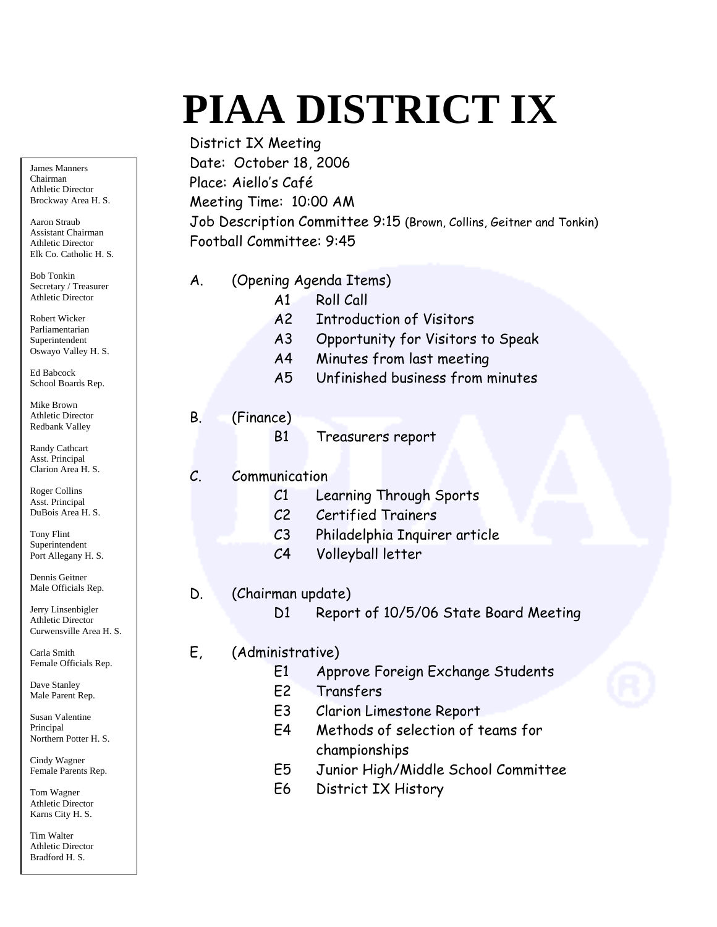# **PIAA DISTRICT IX**

 District IX Meeting Date: October 18, 2006 Place: Aiello's Café Meeting Time: 10:00 AM Job Description Committee 9:15 (Brown, Collins, Geitner and Tonkin) Football Committee: 9:45

- A. (Opening Agenda Items)
	- A1 Roll Call
	- A2 Introduction of Visitors
	- A3 Opportunity for Visitors to Speak
	- A4 Minutes from last meeting
	- A5 Unfinished business from minutes

## B. (Finance)

B1 Treasurers report

## C. Communication

- C1 Learning Through Sports
- C2 Certified Trainers
- C3 Philadelphia Inquirer article
- C4 Volleyball letter

## D. (Chairman update)

D1 Report of 10/5/06 State Board Meeting

## E, (Administrative)

- E1 Approve Foreign Exchange Students
- E2 Transfers
- E3 Clarion Limestone Report
- E4 Methods of selection of teams for championships
- E5 Junior High/Middle School Committee
- E6 District IX History

James Manners Chairman Athletic Director Brockway Area H. S.

Aaron Straub Assistant Chairman Athletic Director Elk Co. Catholic H. S.

Bob Tonkin Secretary / Treasurer Athletic Director

Robert Wicker Parliamentarian Superintendent Oswayo Valley H. S.

Ed Babcock School Boards Rep.

Mike Brown Athletic Director Redbank Valley

Randy Cathcart Asst. Principal Clarion Area H. S.

Roger Collins Asst. Principal DuBois Area H. S.

Tony Flint Superintendent Port Allegany H. S.

Dennis Geitner Male Officials Rep.

Jerry Linsenbigler Athletic Director Curwensville Area H. S.

Carla Smith Female Officials Rep.

Dave Stanley Male Parent Rep.

Susan Valentine Principal Northern Potter H. S.

Cindy Wagner Female Parents Rep.

Tom Wagner Athletic Director Karns City H. S.

Tim Walter Athletic Director Bradford H. S.